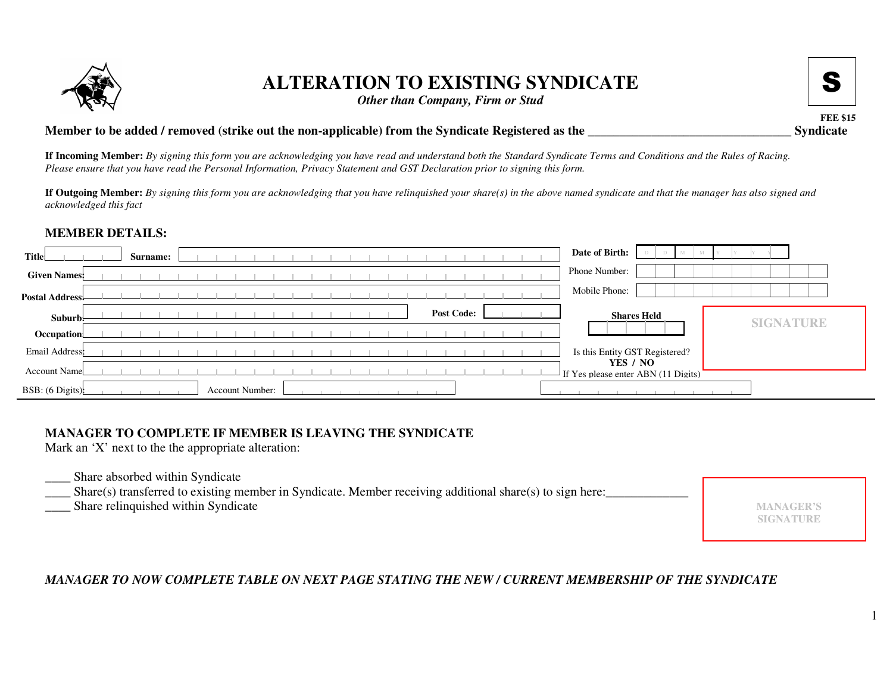

# **ALTERATION TO EXISTING SYNDICATE**

*Other than Company, Firm or Stud*

**FEE \$15**

S

### **Member to be added / removed (strike out the non-applicable) from the Syndicate Registered as the \_\_\_\_\_\_\_\_\_\_\_\_\_\_\_\_\_\_\_\_\_\_\_\_\_\_\_\_\_\_\_\_ Syndicate**

**If Incoming Member:** By signing this form you are acknowledging you have read and understand both the Standard Syndicate Terms and Conditions and the Rules of Racing. Please ensure that you have read the Personal Information, Privacy Statement and GST Declaration prior to signing this form.

**If Outgoing Member:** By signing this form you are acknowledging that you have relinquished your share(s) in the above named syndicate and that the manager has also signed and *acknowledged this fact*

## **MEMBER DETAILS:**

| <b>Title</b>        |  |  | Surname: |  |                 |  |  |  |  |  |                   |  |  | Date of Birth:                                  |  |
|---------------------|--|--|----------|--|-----------------|--|--|--|--|--|-------------------|--|--|-------------------------------------------------|--|
| <b>Given Names:</b> |  |  |          |  |                 |  |  |  |  |  |                   |  |  | Phone Number:                                   |  |
| Postal Address!     |  |  |          |  |                 |  |  |  |  |  |                   |  |  | Mobile Phone:                                   |  |
| Suburb:             |  |  |          |  |                 |  |  |  |  |  | <b>Post Code:</b> |  |  | <b>Shares Held</b><br><b>SIGNATURE</b>          |  |
| Occupation          |  |  |          |  |                 |  |  |  |  |  |                   |  |  |                                                 |  |
| Email Address       |  |  |          |  |                 |  |  |  |  |  |                   |  |  | Is this Entity GST Registered?                  |  |
| Account Name        |  |  |          |  |                 |  |  |  |  |  |                   |  |  | YES / NO<br>If Yes please enter ABN (11 Digits) |  |
| BSB: (6 Digits)     |  |  |          |  | Account Number: |  |  |  |  |  |                   |  |  |                                                 |  |

## **MANAGER TO COMPLETE IF MEMBER IS LEAVING THE SYNDICATE**

Mark an 'X' next to the the appropriate alteration:

- \_\_\_\_\_\_\_\_\_\_\_\_\_ Share absorbed within Syndicate
- Share(s) transferred to existing member in Syndicate. Member receiving additional share(s) to sign here:
- \_\_\_\_ Share relinquished within Syndicate

**MANAGER'SSIGNATURE**

## *MANAGER TO NOW COMPLETE TABLE ON NEXT PAGE STATING THE NEW / CURRENT MEMBERSHIP OF THE SYNDICATE*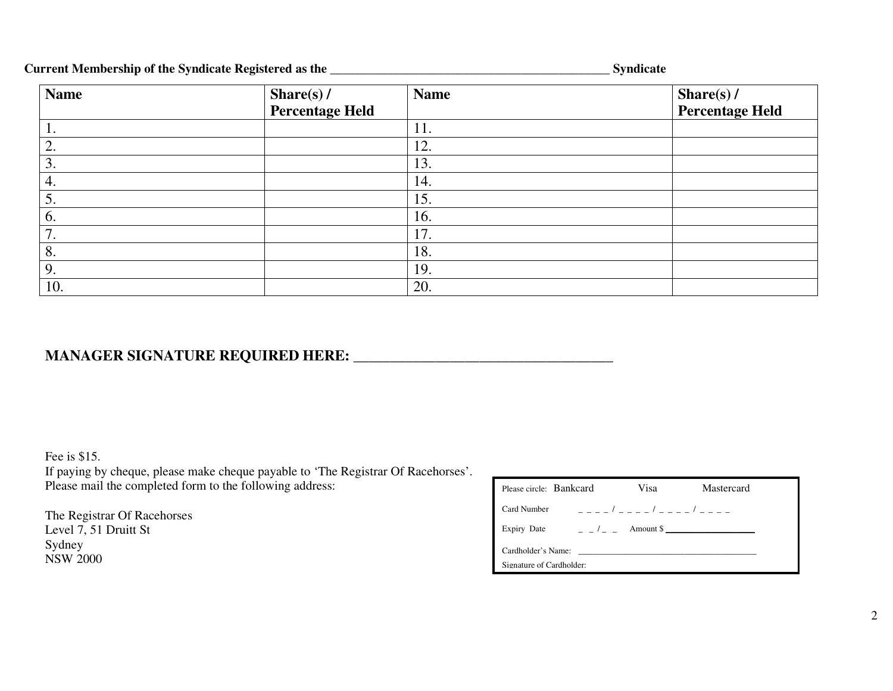### **Current Membership of the Syndicate Registered as the \_\_\_\_\_\_\_\_\_\_\_\_\_\_\_\_\_\_\_\_\_\_\_\_\_\_\_\_\_\_\_\_\_\_\_\_\_\_\_\_\_\_\_\_ Syndicate**

| <b>Name</b>    | Share(s) $/$           | <b>Name</b> | Share(s) $/$    |
|----------------|------------------------|-------------|-----------------|
|                | <b>Percentage Held</b> |             | Percentage Held |
| $\mathbf{I}$ . |                        | 11.         |                 |
| 2.             |                        | 12.         |                 |
| 3.             |                        | 13.         |                 |
| 4.             |                        | 14.         |                 |
| 5.             |                        | 15.         |                 |
| 6.             |                        | 16.         |                 |
| 7.             |                        | 17.         |                 |
| 8.             |                        | 18.         |                 |
| 9.             |                        | 19.         |                 |
| 10.            |                        | 20.         |                 |

## **MANAGER SIGNATURE REQUIRED HERE:** \_\_\_\_\_\_\_\_\_\_\_\_\_\_\_\_\_\_\_\_\_\_\_\_\_\_\_\_\_\_\_\_\_\_\_

Fee is \$15. If paying by cheque, please make cheque payable to 'The Registrar Of Racehorses'. Please mail the completed form to the following address:

The Registrar Of Racehorses Level 7, 51 Druitt St Sydney NSW 2000

| Please circle: Bankcard                        | Visa | Mastercard                                          |  |  |  |  |  |
|------------------------------------------------|------|-----------------------------------------------------|--|--|--|--|--|
| Card Number                                    |      |                                                     |  |  |  |  |  |
| Expiry Date                                    |      | $\frac{1}{2}$ $\frac{1}{2}$ $\frac{1}{2}$ Amount \$ |  |  |  |  |  |
| Cardholder's Name:<br>Signature of Cardholder: |      |                                                     |  |  |  |  |  |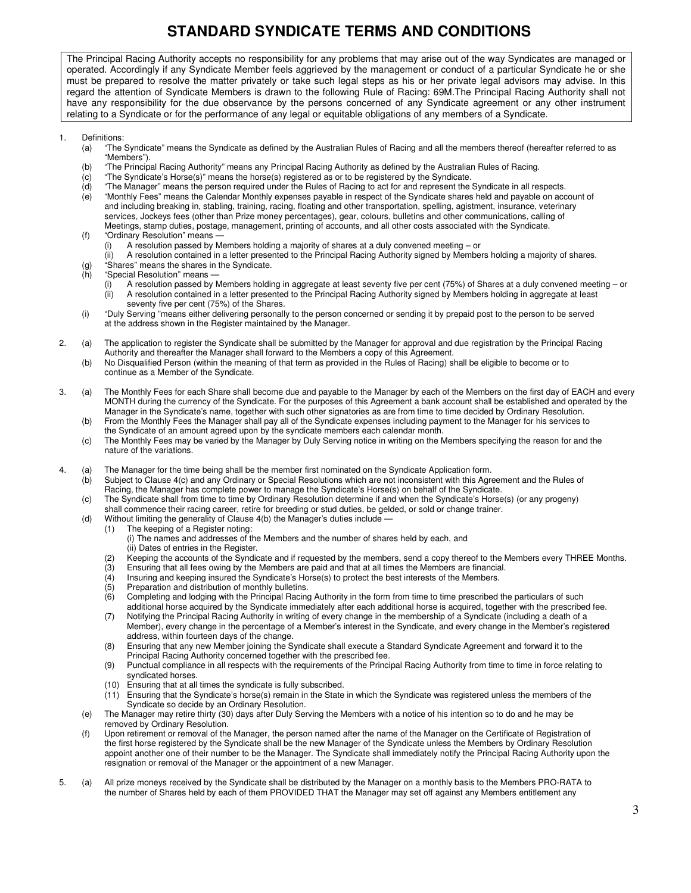## **STANDARD SYNDICATE TERMS AND CONDITIONS**

The Principal Racing Authority accepts no responsibility for any problems that may arise out of the way Syndicates are managed or operated. Accordingly if any Syndicate Member feels aggrieved by the management or conduct of a particular Syndicate he or she must be prepared to resolve the matter privately or take such legal steps as his or her private legal advisors may advise. In this regard the attention of Syndicate Members is drawn to the following Rule of Racing: 69M.The Principal Racing Authority shall not have any responsibility for the due observance by the persons concerned of any Syndicate agreement or any other instrument relating to a Syndicate or for the performance of any legal or equitable obligations of any members of a Syndicate.

- 1. Definitions:
	- (a) "The Syndicate" means the Syndicate as defined by the Australian Rules of Racing and all the members thereof (hereafter referred to as "Members").
	- (b) "The Principal Racing Authority" means any Principal Racing Authority as defined by the Australian Rules of Racing.
	- (c) "The Syndicate's Horse(s)" means the horse(s) registered as or to be registered by the Syndicate.
	- (d) "The Manager" means the person required under the Rules of Racing to act for and represent the Syndicate in all respects. "Monthly Fees" means the Calendar Monthly expenses payable in respect of the Syndicate shares held and payable on account of
	- and including breaking in, stabling, training, racing, floating and other transportation, spelling, agistment, insurance, veterinary services, Jockeys fees (other than Prize money percentages), gear, colours, bulletins and other communications, calling of Meetings, stamp duties, postage, management, printing of accounts, and all other costs associated with the Syndicate.
	- (f) "Ordinary Resolution" means
		- (i) A resolution passed by Members holding a majority of shares at a duly convened meeting or
	- (ii) A resolution contained in a letter presented to the Principal Racing Authority signed by Members holding a majority of shares. (g) "Shares" means the shares in the Syndicate.
	- (h) "Special Resolution" means
		- (i) A resolution passed by Members holding in aggregate at least seventy five per cent (75%) of Shares at a duly convened meeting or (ii) A resolution contained in a letter presented to the Principal Racing Authority signed by Members holding in aggregate at least seventy five per cent (75%) of the Shares.
	- (i) "Duly Serving "means either delivering personally to the person concerned or sending it by prepaid post to the person to be served at the address shown in the Register maintained by the Manager.
- 2. (a) The application to register the Syndicate shall be submitted by the Manager for approval and due registration by the Principal Racing Authority and thereafter the Manager shall forward to the Members a copy of this Agreement.
	- (b) No Disqualified Person (within the meaning of that term as provided in the Rules of Racing) shall be eligible to become or to continue as a Member of the Syndicate.
- 3. (a) The Monthly Fees for each Share shall become due and payable to the Manager by each of the Members on the first day of EACH and every MONTH during the currency of the Syndicate. For the purposes of this Agreement a bank account shall be established and operated by the Manager in the Syndicate's name, together with such other signatories as are from time to time decided by Ordinary Resolution.
	- (b) From the Monthly Fees the Manager shall pay all of the Syndicate expenses including payment to the Manager for his services to the Syndicate of an amount agreed upon by the syndicate members each calendar month.
	- (c) The Monthly Fees may be varied by the Manager by Duly Serving notice in writing on the Members specifying the reason for and the nature of the variations.
- 4. (a) The Manager for the time being shall be the member first nominated on the Syndicate Application form.
	- (b) Subject to Clause 4(c) and any Ordinary or Special Resolutions which are not inconsistent with this Agreement and the Rules of Racing, the Manager has complete power to manage the Syndicate's Horse(s) on behalf of the Syndicate.
	- (c) The Syndicate shall from time to time by Ordinary Resolution determine if and when the Syndicate's Horse(s) (or any progeny)
	- shall commence their racing career, retire for breeding or stud duties, be gelded, or sold or change trainer.
	- (d) Without limiting the generality of Clause 4(b) the Manager's duties include -
		- (1) The keeping of a Register noting: (i) The names and addresses of the Members and the number of shares held by each, and
		- (ii) Dates of entries in the Register.
		- (2) Keeping the accounts of the Syndicate and if requested by the members, send a copy thereof to the Members every THREE Months.
		- (3) Ensuring that all fees owing by the Members are paid and that at all times the Members are financial.<br>(4) Insuring and keeping insured the Syndicate's Horse(s) to protect the best interests of the Members.
		- (4) Insuring and keeping insured the Syndicate's Horse(s) to protect the best interests of the Members.<br>(5) Preparation and distribution of monthly bulletins.
		- Preparation and distribution of monthly bulletins.
		- (6) Completing and lodging with the Principal Racing Authority in the form from time to time prescribed the particulars of such additional horse acquired by the Syndicate immediately after each additional horse is acquired, together with the prescribed fee.
		- (7) Notifying the Principal Racing Authority in writing of every change in the membership of a Syndicate (including a death of a Member), every change in the percentage of a Member's interest in the Syndicate, and every change in the Member's registered address, within fourteen days of the change.
		- (8) Ensuring that any new Member joining the Syndicate shall execute a Standard Syndicate Agreement and forward it to the Principal Racing Authority concerned together with the prescribed fee.
		- (9) Punctual compliance in all respects with the requirements of the Principal Racing Authority from time to time in force relating to syndicated horses.
		- (10) Ensuring that at all times the syndicate is fully subscribed.
		- (11) Ensuring that the Syndicate's horse(s) remain in the State in which the Syndicate was registered unless the members of the Syndicate so decide by an Ordinary Resolution.
	- (e) The Manager may retire thirty (30) days after Duly Serving the Members with a notice of his intention so to do and he may be removed by Ordinary Resolution.
	- (f) Upon retirement or removal of the Manager, the person named after the name of the Manager on the Certificate of Registration of the first horse registered by the Syndicate shall be the new Manager of the Syndicate unless the Members by Ordinary Resolution appoint another one of their number to be the Manager. The Syndicate shall immediately notify the Principal Racing Authority upon the resignation or removal of the Manager or the appointment of a new Manager.
- 5. (a) All prize moneys received by the Syndicate shall be distributed by the Manager on a monthly basis to the Members PRO-RATA to the number of Shares held by each of them PROVIDED THAT the Manager may set off against any Members entitlement any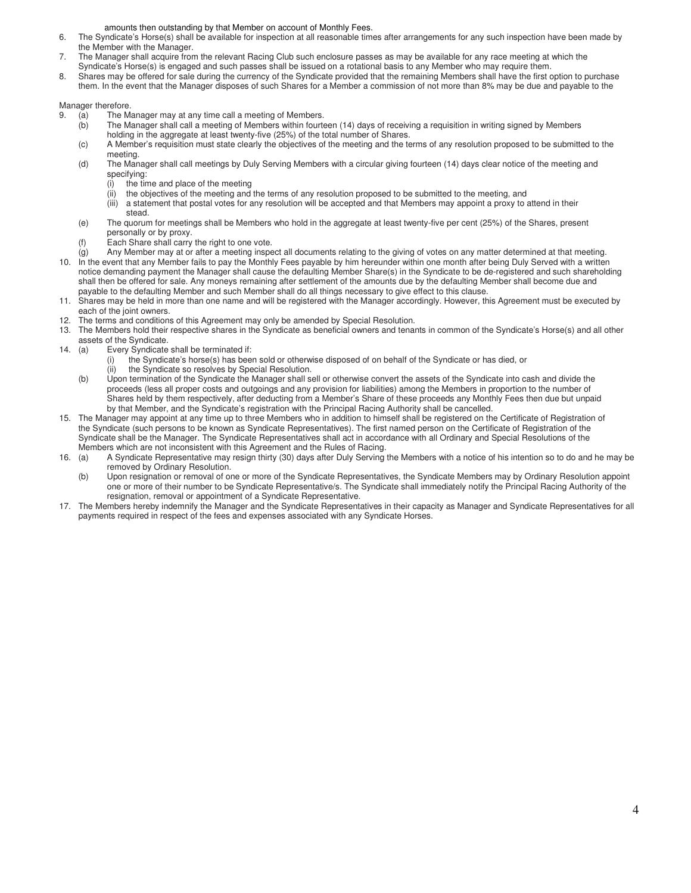amounts then outstanding by that Member on account of Monthly Fees.

- 6. The Syndicate's Horse(s) shall be available for inspection at all reasonable times after arrangements for any such inspection have been made by the Member with the Manager.
- 7. The Manager shall acquire from the relevant Racing Club such enclosure passes as may be available for any race meeting at which the Syndicate's Horse(s) is engaged and such passes shall be issued on a rotational basis to any Member who may require them.
- 8. Shares may be offered for sale during the currency of the Syndicate provided that the remaining Members shall have the first option to purchase them. In the event that the Manager disposes of such Shares for a Member a commission of not more than 8% may be due and payable to the

Manager therefore.

- 9. (a) The Manager may at any time call a meeting of Members.<br>(b) The Manager shall call a meeting of Members within fourte
	- The Manager shall call a meeting of Members within fourteen (14) days of receiving a requisition in writing signed by Members holding in the aggregate at least twenty-five (25%) of the total number of Shares.
	- (c) A Member's requisition must state clearly the objectives of the meeting and the terms of any resolution proposed to be submitted to the meeting.
	- (d) The Manager shall call meetings by Duly Serving Members with a circular giving fourteen (14) days clear notice of the meeting and specifying:
		- (i) the time and place of the meeting<br>(ii) the objectives of the meeting and
		- the objectives of the meeting and the terms of any resolution proposed to be submitted to the meeting, and
		- (iii) a statement that postal votes for any resolution will be accepted and that Members may appoint a proxy to attend in their stead.
	- (e) The quorum for meetings shall be Members who hold in the aggregate at least twenty-five per cent (25%) of the Shares, present personally or by proxy.
	- (f) Each Share shall carry the right to one vote.
- (g) Any Member may at or after a meeting inspect all documents relating to the giving of votes on any matter determined at that meeting. 10. In the event that any Member fails to pay the Monthly Fees payable by him hereunder within one month after being Duly Served with a written notice demanding payment the Manager shall cause the defaulting Member Share(s) in the Syndicate to be de-registered and such shareholding shall then be offered for sale. Any moneys remaining after settlement of the amounts due by the defaulting Member shall become due and payable to the defaulting Member and such Member shall do all things necessary to give effect to this clause.
- 11. Shares may be held in more than one name and will be registered with the Manager accordingly. However, this Agreement must be executed by each of the joint owners.
- 12. The terms and conditions of this Agreement may only be amended by Special Resolution.
- 13. The Members hold their respective shares in the Syndicate as beneficial owners and tenants in common of the Syndicate's Horse(s) and all other assets of the Syndicate.
- 14. (a) Every Syndicate shall be terminated if:
	- (i) the Syndicate's horse(s) has been sold or otherwise disposed of on behalf of the Syndicate or has died, or<br>(ii) the Syndicate so resolves by Special Resolution. the Syndicate so resolves by Special Resolution.
	- (b) Upon termination of the Syndicate the Manager shall sell or otherwise convert the assets of the Syndicate into cash and divide the proceeds (less all proper costs and outgoings and any provision for liabilities) among the Members in proportion to the number of Shares held by them respectively, after deducting from a Member's Share of these proceeds any Monthly Fees then due but unpaid by that Member, and the Syndicate's registration with the Principal Racing Authority shall be cancelled.
- 15. The Manager may appoint at any time up to three Members who in addition to himself shall be registered on the Certificate of Registration of the Syndicate (such persons to be known as Syndicate Representatives). The first named person on the Certificate of Registration of the Syndicate shall be the Manager. The Syndicate Representatives shall act in accordance with all Ordinary and Special Resolutions of the Members which are not inconsistent with this Agreement and the Rules of Racing.<br>16. (a) A Syndicate Representative may resign thirty (30) days after Duly Serving
- A Syndicate Representative may resign thirty (30) days after Duly Serving the Members with a notice of his intention so to do and he may be removed by Ordinary Resolution.
	- (b) Upon resignation or removal of one or more of the Syndicate Representatives, the Syndicate Members may by Ordinary Resolution appoint one or more of their number to be Syndicate Representative/s. The Syndicate shall immediately notify the Principal Racing Authority of the resignation, removal or appointment of a Syndicate Representative.
- 17. The Members hereby indemnify the Manager and the Syndicate Representatives in their capacity as Manager and Syndicate Representatives for all payments required in respect of the fees and expenses associated with any Syndicate Horses.